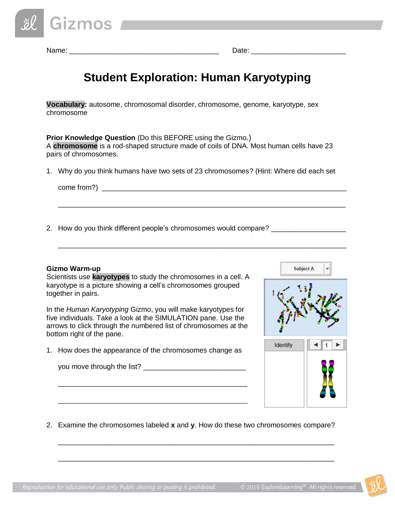Name: \_\_\_\_\_\_\_\_\_\_\_\_\_\_\_\_\_\_\_\_\_\_\_\_\_\_\_\_\_\_\_\_\_\_\_\_\_\_ Date: \_\_\_\_\_\_\_\_\_\_\_\_\_\_\_\_\_\_\_\_\_\_\_\_

# **Student Exploration: Human Karyotyping**

**Vocabulary:** autosome, chromosomal disorder, chromosome, genome, karyotype, sex chromosome

**Prior Knowledge Question** (Do this BEFORE using the Gizmo.) A **chromosome** is a rod-shaped structure made of coils of DNA. Most human cells have 23 pairs of chromosomes.

1. Why do you think humans have two sets of 23 chromosomes? (Hint: Where did each set

\_\_\_\_\_\_\_\_\_\_\_\_\_\_\_\_\_\_\_\_\_\_\_\_\_\_\_\_\_\_\_\_\_\_\_\_\_\_\_\_\_\_\_\_\_\_\_\_\_\_\_\_\_\_\_\_\_\_\_\_\_\_\_\_\_\_\_\_\_\_\_\_\_

\_\_\_\_\_\_\_\_\_\_\_\_\_\_\_\_\_\_\_\_\_\_\_\_\_\_\_\_\_\_\_\_\_\_\_\_\_\_\_\_\_\_\_\_\_\_\_\_\_\_\_\_\_\_\_\_\_\_\_\_\_\_\_\_\_\_\_\_\_\_\_\_\_

 $\text{come from?}$   $\begin{array}{|l|}\n\hline\n\text{come from?} \\
\hline\n\end{array}$ 

2. How do you think different people's chromosomes would compare? \_\_\_\_\_\_\_\_\_\_\_\_\_\_

#### **Gizmo Warm-up**

Scientists use **karyotypes** to study the chromosomes in a cell. A karyotype is a picture showing a cell's chromosomes grouped together in pairs.

In the *Human Karyotyping* Gizmo, you will make karyotypes for five individuals. Take a look at the SIMULATION pane. Use the arrows to click through the numbered list of chromosomes at the bottom right of the pane.

1. How does the appearance of the chromosomes change as

\_\_\_\_\_\_\_\_\_\_\_\_\_\_\_\_\_\_\_\_\_\_\_\_\_\_\_\_\_\_\_\_\_\_\_\_\_\_\_\_\_\_\_\_\_\_\_\_

\_\_\_\_\_\_\_\_\_\_\_\_\_\_\_\_\_\_\_\_\_\_\_\_\_\_\_\_\_\_\_\_\_\_\_\_\_\_\_\_\_\_\_\_\_\_\_\_\_

you move through the list?



2. Examine the chromosomes labeled **x** and **y**. How do these two chromosomes compare?

\_\_\_\_\_\_\_\_\_\_\_\_\_\_\_\_\_\_\_\_\_\_\_\_\_\_\_\_\_\_\_\_\_\_\_\_\_\_\_\_\_\_\_\_\_\_\_\_\_\_\_\_\_\_\_\_\_\_\_\_\_\_\_\_\_\_\_\_\_\_

\_\_\_\_\_\_\_\_\_\_\_\_\_\_\_\_\_\_\_\_\_\_\_\_\_\_\_\_\_\_\_\_\_\_\_\_\_\_\_\_\_\_\_\_\_\_\_\_\_\_\_\_\_\_\_\_\_\_\_\_\_\_\_\_\_\_\_\_\_\_

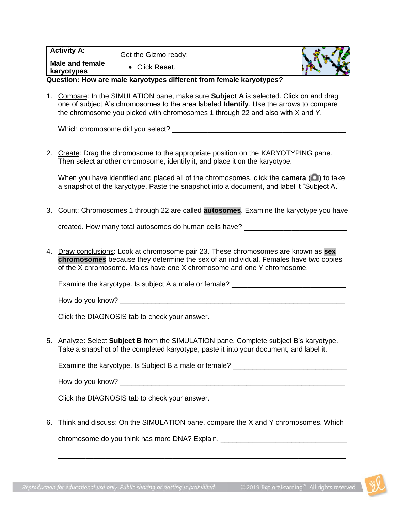| <b>Activity A:</b>                                                  | Get the Gizmo ready: |  |  |  |
|---------------------------------------------------------------------|----------------------|--|--|--|
| Male and female<br>karyotypes                                       | Click Reset.         |  |  |  |
| Ouaction: Hourare male komistupes different from female komistupes? |                      |  |  |  |

**Question: How are male karyotypes different from female karyotypes?**

1. Compare: In the SIMULATION pane, make sure **Subject A** is selected. Click on and drag one of subject A's chromosomes to the area labeled **Identify**. Use the arrows to compare the chromosome you picked with chromosomes 1 through 22 and also with X and Y.

Which chromosome did you select? \_\_\_\_\_\_\_\_\_\_\_\_\_\_\_\_\_\_\_\_\_\_\_\_\_\_\_\_\_\_\_\_\_\_\_\_\_\_\_\_\_\_\_\_

2. Create: Drag the chromosome to the appropriate position on the KARYOTYPING pane. Then select another chromosome, identify it, and place it on the karyotype.

When you have identified and placed all of the chromosomes, click the **camera** (**a**) to take a snapshot of the karyotype. Paste the snapshot into a document, and label it "Subject A."

3. Count: Chromosomes 1 through 22 are called **autosomes**. Examine the karyotype you have

created. How many total autosomes do human cells have?

4. Draw conclusions: Look at chromosome pair 23. These chromosomes are known as **sex chromosomes** because they determine the sex of an individual. Females have two copies of the X chromosome. Males have one X chromosome and one Y chromosome.

Examine the karyotype. Is subject A a male or female?

How do you know? \_\_\_\_\_\_\_\_\_\_\_\_\_\_\_\_\_\_\_\_\_\_\_\_\_\_\_\_\_\_\_\_\_\_\_\_\_\_\_\_\_\_\_\_\_\_\_\_\_\_\_\_\_\_\_\_\_

Click the DIAGNOSIS tab to check your answer.

5. Analyze: Select **Subject B** from the SIMULATION pane. Complete subject B's karyotype. Take a snapshot of the completed karyotype, paste it into your document, and label it.

Examine the karyotype. Is Subject B a male or female? \_\_\_\_\_\_\_\_\_\_\_\_\_\_\_\_\_\_\_\_\_\_\_\_\_\_

How do you know?  $\blacksquare$ 

Click the DIAGNOSIS tab to check your answer.

6. Think and discuss: On the SIMULATION pane, compare the X and Y chromosomes. Which

\_\_\_\_\_\_\_\_\_\_\_\_\_\_\_\_\_\_\_\_\_\_\_\_\_\_\_\_\_\_\_\_\_\_\_\_\_\_\_\_\_\_\_\_\_\_\_\_\_\_\_\_\_\_\_\_\_\_\_\_\_\_\_\_\_\_\_\_\_\_\_\_\_

chromosome do you think has more DNA? Explain. \_\_\_\_\_\_\_\_\_\_\_\_\_\_\_\_\_\_\_\_\_\_\_\_\_\_\_\_\_\_\_\_\_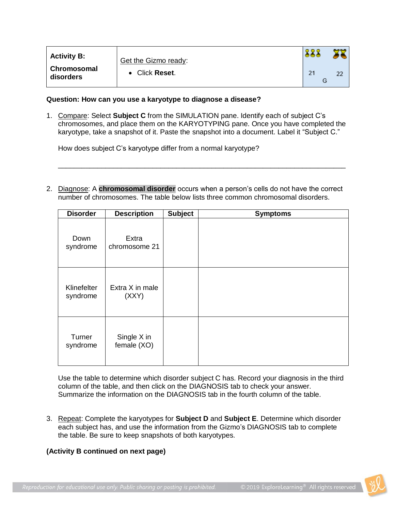| <b>Activity B:</b>       | Get the Gizmo ready: |    |
|--------------------------|----------------------|----|
| Chromosomal<br>disorders | • Click Reset.       | 22 |

### **Question: How can you use a karyotype to diagnose a disease?**

1. Compare: Select **Subject C** from the SIMULATION pane. Identify each of subject C's chromosomes, and place them on the KARYOTYPING pane. Once you have completed the karyotype, take a snapshot of it. Paste the snapshot into a document. Label it "Subject C."

How does subject C's karyotype differ from a normal karyotype?

2. Diagnose: A **chromosomal disorder** occurs when a person's cells do not have the correct number of chromosomes. The table below lists three common chromosomal disorders.

\_\_\_\_\_\_\_\_\_\_\_\_\_\_\_\_\_\_\_\_\_\_\_\_\_\_\_\_\_\_\_\_\_\_\_\_\_\_\_\_\_\_\_\_\_\_\_\_\_\_\_\_\_\_\_\_\_\_\_\_\_\_\_\_\_\_\_\_\_\_\_\_\_

| <b>Disorder</b>         | <b>Description</b>         | <b>Subject</b> | <b>Symptoms</b> |
|-------------------------|----------------------------|----------------|-----------------|
| Down<br>syndrome        | Extra<br>chromosome 21     |                |                 |
| Klinefelter<br>syndrome | Extra X in male<br>(XXY)   |                |                 |
| Turner<br>syndrome      | Single X in<br>female (XO) |                |                 |

Use the table to determine which disorder subject C has. Record your diagnosis in the third column of the table, and then click on the DIAGNOSIS tab to check your answer. Summarize the information on the DIAGNOSIS tab in the fourth column of the table.

3. Repeat: Complete the karyotypes for **Subject D** and **Subject E**. Determine which disorder each subject has, and use the information from the Gizmo's DIAGNOSIS tab to complete the table. Be sure to keep snapshots of both karyotypes.

## **(Activity B continued on next page)**